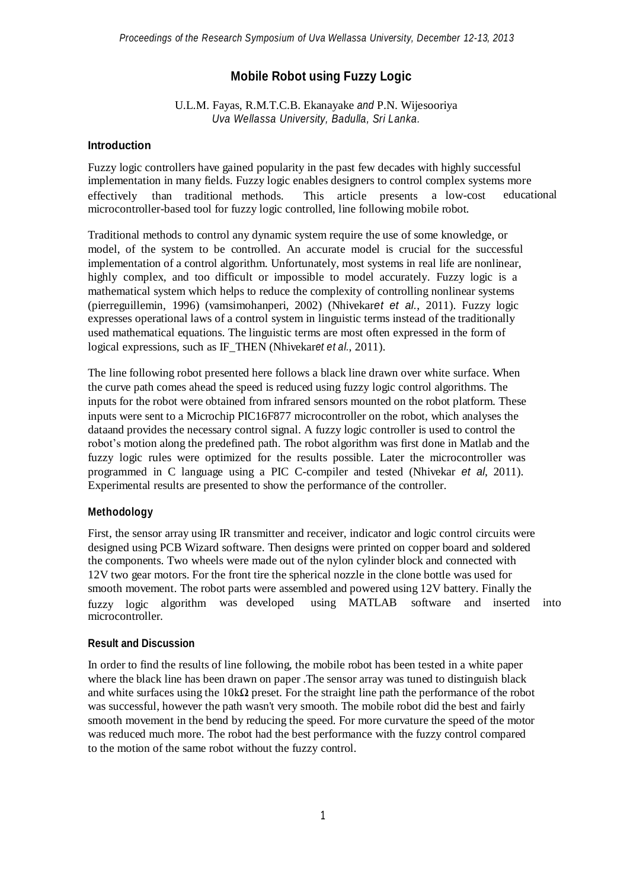# **Mobile Robot using Fuzzy Logic**

U.L.M. Fayas, R.M.T.C.B. Ekanayake *and* P.N. Wijesooriya *Uva Wellassa University, Badulla, Sri Lanka.*

### **Introduction**

effectively than traditional methods. This article presents Fuzzy logic controllers have gained popularity in the past few decades with highly successful implementation in many fields. Fuzzy logic enables designers to control complex systems more a low-cost microcontroller-based tool for fuzzy logic controlled, line following mobile robot. educational

Traditional methods to control any dynamic system require the use of some knowledge, or model, of the system to be controlled. An accurate model is crucial for the successful implementation of a control algorithm. Unfortunately, most systems in real life are nonlinear, highly complex, and too difficult or impossible to model accurately. Fuzzy logic is a mathematical system which helps to reduce the complexity of controlling nonlinear systems (pierreguillemin, 1996) (vamsimohanperi, 2002) (Nhivekar*et et al.*, 2011). Fuzzy logic expresses operational laws of a control system in linguistic terms instead of the traditionally used mathematical equations. The linguistic terms are most often expressed in the form of logical expressions, such as IF\_THEN (Nhivekar*et et al.*, 2011).

The line following robot presented here follows a black line drawn over white surface. When the curve path comes ahead the speed is reduced using fuzzy logic control algorithms. The inputs for the robot were obtained from infrared sensors mounted on the robot platform. These inputs were sent to a Microchip PIC16F877 microcontroller on the robot, which analyses the dataand provides the necessary control signal. A fuzzy logic controller is used to control the robot's motion along the predefined path. The robot algorithm was first done in Matlab and the fuzzy logic rules were optimized for the results possible. Later the microcontroller was programmed in C language using a PIC C-compiler and tested (Nhivekar *et al*, 2011). Experimental results are presented to show the performance of the controller.

### **Methodology**

fuzzy logic algorithm First, the sensor array using IR transmitter and receiver, indicator and logic control circuits were designed using PCB Wizard software. Then designs were printed on copper board and soldered the components. Two wheels were made out of the nylon cylinder block and connected with 12V two gear motors. For the front tire the spherical nozzle in the clone bottle was used for smooth movement. The robot parts were assembled and powered using 12V battery. Finally the microcontroller. using MATLAB software and inserted into

#### **Result and Discussion**

In order to find the results of line following, the mobile robot has been tested in a white paper where the black line has been drawn on paper .The sensor array was tuned to distinguish black and white surfaces using the  $10k\Omega$  preset. For the straight line path the performance of the robot was successful, however the path wasn't very smooth. The mobile robot did the best and fairly smooth movement in the bend by reducing the speed. For more curvature the speed of the motor was reduced much more. The robot had the best performance with the fuzzy control compared to the motion of the same robot without the fuzzy control.